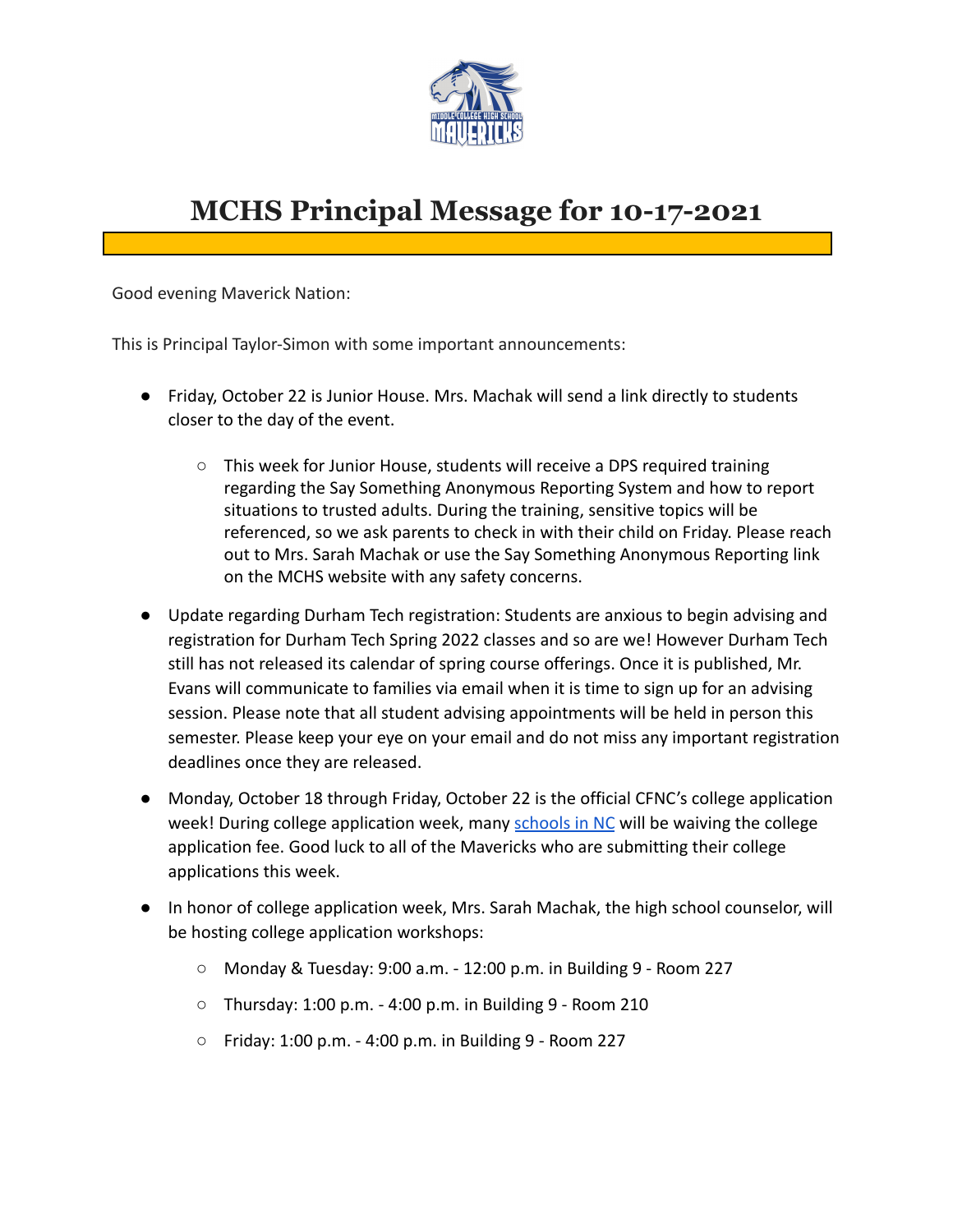

## **MCHS Principal Message for 10-17-2021**

Good evening Maverick Nation:

This is Principal Taylor-Simon with some important announcements:

- Friday, October 22 is Junior House. Mrs. Machak will send a link directly to students closer to the day of the event.
	- This week for Junior House, students will receive a DPS required training regarding the Say Something Anonymous Reporting System and how to report situations to trusted adults. During the training, sensitive topics will be referenced, so we ask parents to check in with their child on Friday. Please reach out to Mrs. Sarah Machak or use the Say Something Anonymous Reporting link on the MCHS website with any safety concerns.
- Update regarding Durham Tech registration: Students are anxious to begin advising and registration for Durham Tech Spring 2022 classes and so are we! However Durham Tech still has not released its calendar of spring course offerings. Once it is published, Mr. Evans will communicate to families via email when it is time to sign up for an advising session. Please note that all student advising appointments will be held in person this semester. Please keep your eye on your email and do not miss any important registration deadlines once they are released.
- Monday, October 18 through Friday, October 22 is the official CFNC's college application week! During college application week, many [schools](https://www.cfnc.org/media/v5znwqly/nc-college-application-fees-for-c2c.pdf) in NC will be waiving the college application fee. Good luck to all of the Mavericks who are submitting their college applications this week.
- In honor of college application week, Mrs. Sarah Machak, the high school counselor, will be hosting college application workshops:
	- Monday & Tuesday: 9:00 a.m. 12:00 p.m. in Building 9 Room 227
	- Thursday: 1:00 p.m. 4:00 p.m. in Building 9 Room 210
	- $\circ$  Friday: 1:00 p.m. 4:00 p.m. in Building 9 Room 227